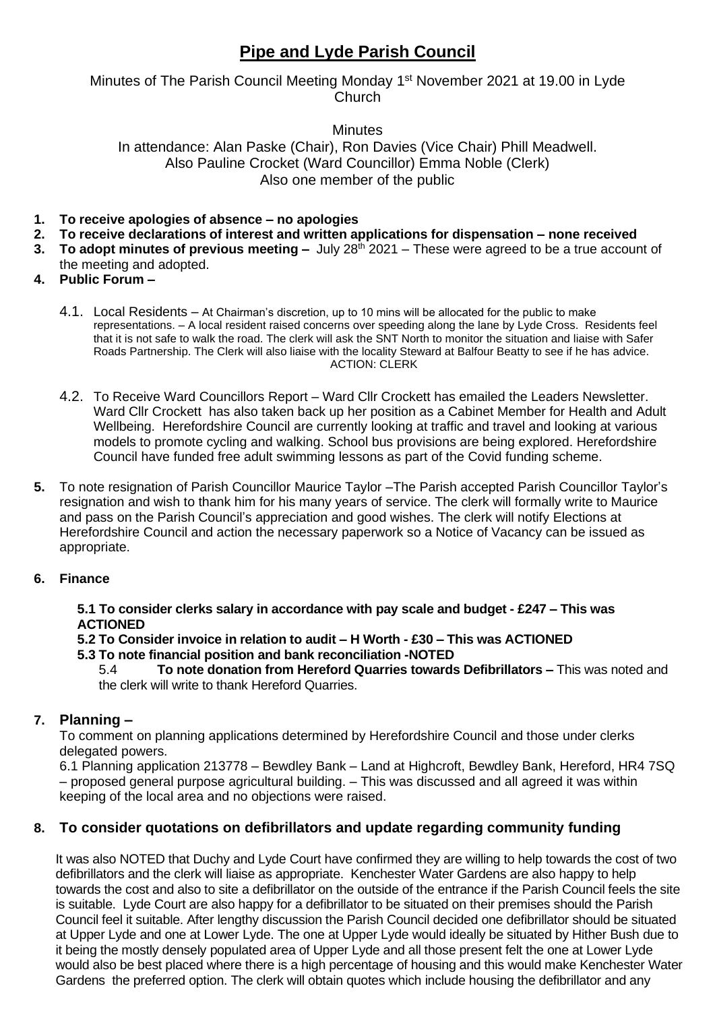# **Pipe and Lyde Parish Council**

### Minutes of The Parish Council Meeting Monday 1<sup>st</sup> November 2021 at 19.00 in Lyde **Church**

# **Minutes** In attendance: Alan Paske (Chair), Ron Davies (Vice Chair) Phill Meadwell.

Also Pauline Crocket (Ward Councillor) Emma Noble (Clerk) Also one member of the public

- **1. To receive apologies of absence – no apologies**
- **2. To receive declarations of interest and written applications for dispensation – none received**
- **3. To adopt minutes of previous meeting –** July 28th 2021 These were agreed to be a true account of the meeting and adopted.
- **4. Public Forum –**
	- 4.1. Local Residents At Chairman's discretion, up to 10 mins will be allocated for the public to make representations. – A local resident raised concerns over speeding along the lane by Lyde Cross. Residents feel that it is not safe to walk the road. The clerk will ask the SNT North to monitor the situation and liaise with Safer Roads Partnership. The Clerk will also liaise with the locality Steward at Balfour Beatty to see if he has advice. ACTION: CLERK
	- 4.2. To Receive Ward Councillors Report Ward Cllr Crockett has emailed the Leaders Newsletter. Ward Cllr Crockett has also taken back up her position as a Cabinet Member for Health and Adult Wellbeing. Herefordshire Council are currently looking at traffic and travel and looking at various models to promote cycling and walking. School bus provisions are being explored. Herefordshire Council have funded free adult swimming lessons as part of the Covid funding scheme.
- **5.** To note resignation of Parish Councillor Maurice Taylor –The Parish accepted Parish Councillor Taylor's resignation and wish to thank him for his many years of service. The clerk will formally write to Maurice and pass on the Parish Council's appreciation and good wishes. The clerk will notify Elections at Herefordshire Council and action the necessary paperwork so a Notice of Vacancy can be issued as appropriate.
- **6. Finance**

**5.1 To consider clerks salary in accordance with pay scale and budget - £247 – This was ACTIONED**

#### **5.2 To Consider invoice in relation to audit – H Worth - £30 – This was ACTIONED 5.3 To note financial position and bank reconciliation -NOTED**

5.4 **To note donation from Hereford Quarries towards Defibrillators –** This was noted and the clerk will write to thank Hereford Quarries.

# **7. Planning –**

To comment on planning applications determined by Herefordshire Council and those under clerks delegated powers.

6.1 Planning application 213778 – Bewdley Bank – Land at Highcroft, Bewdley Bank, Hereford, HR4 7SQ – proposed general purpose agricultural building. – This was discussed and all agreed it was within keeping of the local area and no objections were raised.

## **8. To consider quotations on defibrillators and update regarding community funding**

It was also NOTED that Duchy and Lyde Court have confirmed they are willing to help towards the cost of two defibrillators and the clerk will liaise as appropriate. Kenchester Water Gardens are also happy to help towards the cost and also to site a defibrillator on the outside of the entrance if the Parish Council feels the site is suitable. Lyde Court are also happy for a defibrillator to be situated on their premises should the Parish Council feel it suitable. After lengthy discussion the Parish Council decided one defibrillator should be situated at Upper Lyde and one at Lower Lyde. The one at Upper Lyde would ideally be situated by Hither Bush due to it being the mostly densely populated area of Upper Lyde and all those present felt the one at Lower Lyde would also be best placed where there is a high percentage of housing and this would make Kenchester Water Gardens the preferred option. The clerk will obtain quotes which include housing the defibrillator and any